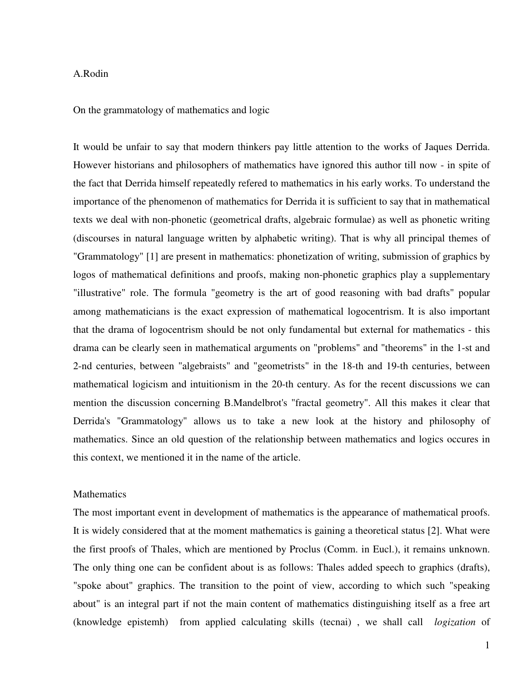## A.Rodin

On the grammatology of mathematics and logic

It would be unfair to say that modern thinkers pay little attention to the works of Jaques Derrida. However historians and philosophers of mathematics have ignored this author till now - in spite of the fact that Derrida himself repeatedly refered to mathematics in his early works. To understand the importance of the phenomenon of mathematics for Derrida it is sufficient to say that in mathematical texts we deal with non-phonetic (geometrical drafts, algebraic formulae) as well as phonetic writing (discourses in natural language written by alphabetic writing). That is why all principal themes of "Grammatology" [1] are present in mathematics: phonetization of writing, submission of graphics by logos of mathematical definitions and proofs, making non-phonetic graphics play a supplementary "illustrative" role. The formula "geometry is the art of good reasoning with bad drafts" popular among mathematicians is the exact expression of mathematical logocentrism. It is also important that the drama of logocentrism should be not only fundamental but external for mathematics - this drama can be clearly seen in mathematical arguments on "problems" and "theorems" in the 1-st and 2-nd centuries, between "algebraists" and "geometrists" in the 18-th and 19-th centuries, between mathematical logicism and intuitionism in the 20-th century. As for the recent discussions we can mention the discussion concerning B.Mandelbrot's "fractal geometry". All this makes it clear that Derrida's "Grammatology" allows us to take a new look at the history and philosophy of mathematics. Since an old question of the relationship between mathematics and logics occures in this context, we mentioned it in the name of the article.

## **Mathematics**

The most important event in development of mathematics is the appearance of mathematical proofs. It is widely considered that at the moment mathematics is gaining a theoretical status [2]. What were the first proofs of Thales, which are mentioned by Proclus (Comm. in Eucl.), it remains unknown. The only thing one can be confident about is as follows: Thales added speech to graphics (drafts), "spoke about" graphics. The transition to the point of view, according to which such "speaking about" is an integral part if not the main content of mathematics distinguishing itself as a free art (knowledge epistemh) from applied calculating skills (tecnai) , we shall call *logization* of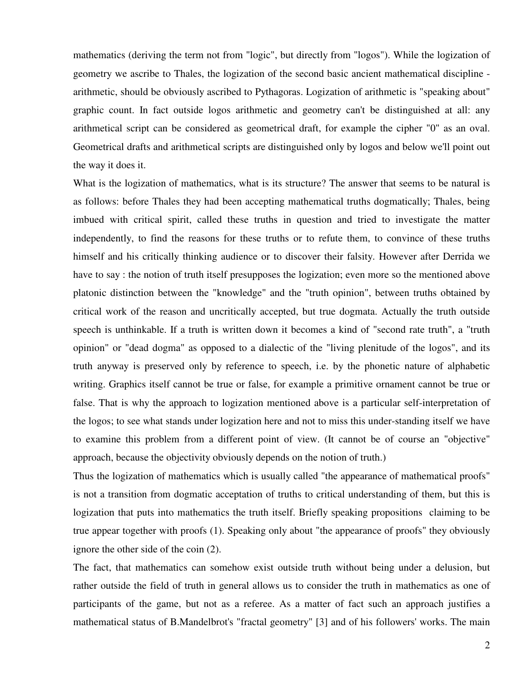mathematics (deriving the term not from "logic", but directly from "logos"). While the logization of geometry we ascribe to Thales, the logization of the second basic ancient mathematical discipline arithmetic, should be obviously ascribed to Pythagoras. Logization of arithmetic is "speaking about" graphic count. In fact outside logos arithmetic and geometry can't be distinguished at all: any arithmetical script can be considered as geometrical draft, for example the cipher "0" as an oval. Geometrical drafts and arithmetical scripts are distinguished only by logos and below we'll point out the way it does it.

What is the logization of mathematics, what is its structure? The answer that seems to be natural is as follows: before Thales they had been accepting mathematical truths dogmatically; Thales, being imbued with critical spirit, called these truths in question and tried to investigate the matter independently, to find the reasons for these truths or to refute them, to convince of these truths himself and his critically thinking audience or to discover their falsity. However after Derrida we have to say : the notion of truth itself presupposes the logization; even more so the mentioned above platonic distinction between the "knowledge" and the "truth opinion", between truths obtained by critical work of the reason and uncritically accepted, but true dogmata. Actually the truth outside speech is unthinkable. If a truth is written down it becomes a kind of "second rate truth", a "truth opinion" or "dead dogma" as opposed to a dialectic of the "living plenitude of the logos", and its truth anyway is preserved only by reference to speech, i.e. by the phonetic nature of alphabetic writing. Graphics itself cannot be true or false, for example a primitive ornament cannot be true or false. That is why the approach to logization mentioned above is a particular self-interpretation of the logos; to see what stands under logization here and not to miss this under-standing itself we have to examine this problem from a different point of view. (It cannot be of course an "objective" approach, because the objectivity obviously depends on the notion of truth.)

Thus the logization of mathematics which is usually called "the appearance of mathematical proofs" is not a transition from dogmatic acceptation of truths to critical understanding of them, but this is logization that puts into mathematics the truth itself. Briefly speaking propositions claiming to be true appear together with proofs (1). Speaking only about "the appearance of proofs" they obviously ignore the other side of the coin (2).

The fact, that mathematics can somehow exist outside truth without being under a delusion, but rather outside the field of truth in general allows us to consider the truth in mathematics as one of participants of the game, but not as a referee. As a matter of fact such an approach justifies a mathematical status of B.Mandelbrot's "fractal geometry" [3] and of his followers' works. The main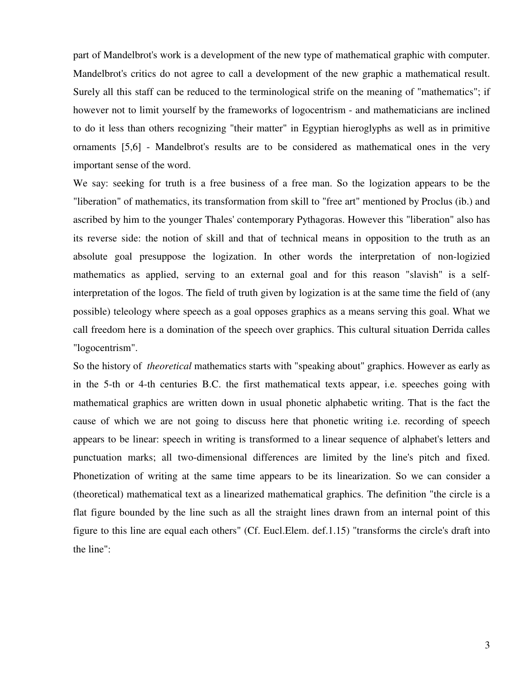part of Mandelbrot's work is a development of the new type of mathematical graphic with computer. Mandelbrot's critics do not agree to call a development of the new graphic a mathematical result. Surely all this staff can be reduced to the terminological strife on the meaning of "mathematics"; if however not to limit yourself by the frameworks of logocentrism - and mathematicians are inclined to do it less than others recognizing "their matter" in Egyptian hieroglyphs as well as in primitive ornaments [5,6] - Mandelbrot's results are to be considered as mathematical ones in the very important sense of the word.

We say: seeking for truth is a free business of a free man. So the logization appears to be the "liberation" of mathematics, its transformation from skill to "free art" mentioned by Proclus (ib.) and ascribed by him to the younger Thales' contemporary Pythagoras. However this "liberation" also has its reverse side: the notion of skill and that of technical means in opposition to the truth as an absolute goal presuppose the logization. In other words the interpretation of non-logizied mathematics as applied, serving to an external goal and for this reason "slavish" is a selfinterpretation of the logos. The field of truth given by logization is at the same time the field of (any possible) teleology where speech as a goal opposes graphics as a means serving this goal. What we call freedom here is a domination of the speech over graphics. This cultural situation Derrida calles "logocentrism".

So the history of *theoretical* mathematics starts with "speaking about" graphics. However as early as in the 5-th or 4-th centuries B.C. the first mathematical texts appear, i.e. speeches going with mathematical graphics are written down in usual phonetic alphabetic writing. That is the fact the cause of which we are not going to discuss here that phonetic writing i.e. recording of speech appears to be linear: speech in writing is transformed to a linear sequence of alphabet's letters and punctuation marks; all two-dimensional differences are limited by the line's pitch and fixed. Phonetization of writing at the same time appears to be its linearization. So we can consider a (theoretical) mathematical text as a linearized mathematical graphics. The definition "the circle is a flat figure bounded by the line such as all the straight lines drawn from an internal point of this figure to this line are equal each others" (Cf. Eucl.Elem. def.1.15) "transforms the circle's draft into the line":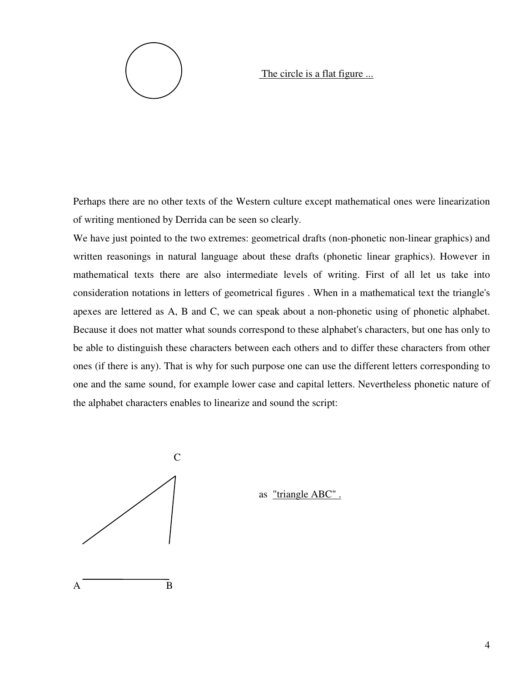

The circle is a flat figure ...

Perhaps there are no other texts of the Western culture except mathematical ones were linearization of writing mentioned by Derrida can be seen so clearly.

We have just pointed to the two extremes: geometrical drafts (non-phonetic non-linear graphics) and written reasonings in natural language about these drafts (phonetic linear graphics). However in mathematical texts there are also intermediate levels of writing. First of all let us take into consideration notations in letters of geometrical figures . When in a mathematical text the triangle's apexes are lettered as A, B and C, we can speak about a non-phonetic using of phonetic alphabet. Because it does not matter what sounds correspond to these alphabet's characters, but one has only to be able to distinguish these characters between each others and to differ these characters from other ones (if there is any). That is why for such purpose one can use the different letters corresponding to one and the same sound, for example lower case and capital letters. Nevertheless phonetic nature of the alphabet characters enables to linearize and sound the script:



as "triangle ABC" .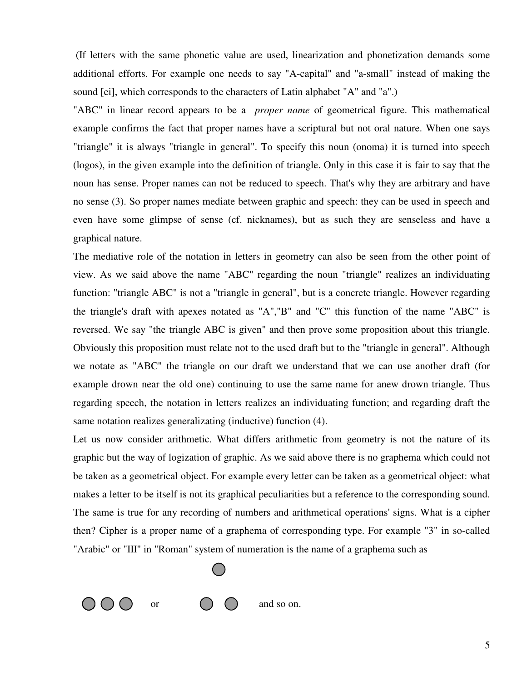(If letters with the same phonetic value are used, linearization and phonetization demands some additional efforts. For example one needs to say "A-capital" and "a-small" instead of making the sound [ei], which corresponds to the characters of Latin alphabet "A" and "a".)

"ABC" in linear record appears to be a *proper name* of geometrical figure. This mathematical example confirms the fact that proper names have a scriptural but not oral nature. When one says "triangle" it is always "triangle in general". To specify this noun (onoma) it is turned into speech (logos), in the given example into the definition of triangle. Only in this case it is fair to say that the noun has sense. Proper names can not be reduced to speech. That's why they are arbitrary and have no sense (3). So proper names mediate between graphic and speech: they can be used in speech and even have some glimpse of sense (cf. nicknames), but as such they are senseless and have a graphical nature.

The mediative role of the notation in letters in geometry can also be seen from the other point of view. As we said above the name "ABC" regarding the noun "triangle" realizes an individuating function: "triangle ABC" is not a "triangle in general", but is a concrete triangle. However regarding the triangle's draft with apexes notated as "A","B" and "C" this function of the name "ABC" is reversed. We say "the triangle ABC is given" and then prove some proposition about this triangle. Obviously this proposition must relate not to the used draft but to the "triangle in general". Although we notate as "ABC" the triangle on our draft we understand that we can use another draft (for example drown near the old one) continuing to use the same name for anew drown triangle. Thus regarding speech, the notation in letters realizes an individuating function; and regarding draft the same notation realizes generalizating (inductive) function (4).

Let us now consider arithmetic. What differs arithmetic from geometry is not the nature of its graphic but the way of logization of graphic. As we said above there is no graphema which could not be taken as a geometrical object. For example every letter can be taken as a geometrical object: what makes a letter to be itself is not its graphical peculiarities but a reference to the corresponding sound. The same is true for any recording of numbers and arithmetical operations' signs. What is a cipher then? Cipher is a proper name of a graphema of corresponding type. For example "3" in so-called "Arabic" or "III" in "Roman" system of numeration is the name of a graphema such as

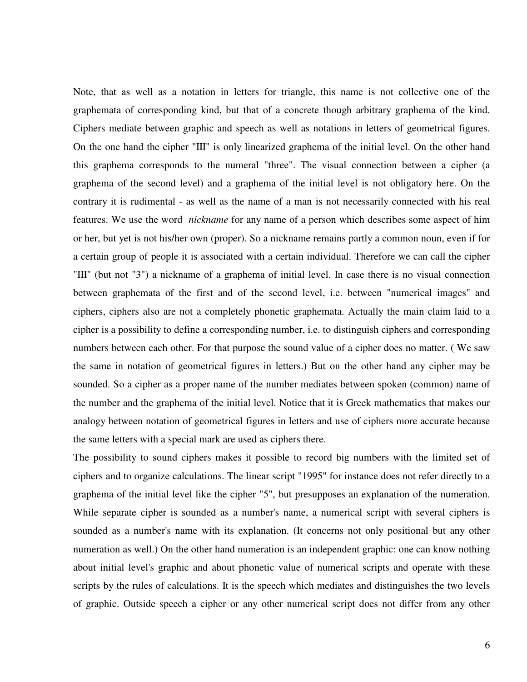Note, that as well as a notation in letters for triangle, this name is not collective one of the graphemata of corresponding kind, but that of a concrete though arbitrary graphema of the kind. Ciphers mediate between graphic and speech as well as notations in letters of geometrical figures. On the one hand the cipher "III" is only linearized graphema of the initial level. On the other hand this graphema corresponds to the numeral "three". The visual connection between a cipher (a graphema of the second level) and a graphema of the initial level is not obligatory here. On the contrary it is rudimental - as well as the name of a man is not necessarily connected with his real features. We use the word *nickname* for any name of a person which describes some aspect of him or her, but yet is not his/her own (proper). So a nickname remains partly a common noun, even if for a certain group of people it is associated with a certain individual. Therefore we can call the cipher "III" (but not "3") a nickname of a graphema of initial level. In case there is no visual connection between graphemata of the first and of the second level, i.e. between "numerical images" and ciphers, ciphers also are not a completely phonetic graphemata. Actually the main claim laid to a cipher is a possibility to define a corresponding number, i.e. to distinguish ciphers and corresponding numbers between each other. For that purpose the sound value of a cipher does no matter. ( We saw the same in notation of geometrical figures in letters.) But on the other hand any cipher may be sounded. So a cipher as a proper name of the number mediates between spoken (common) name of the number and the graphema of the initial level. Notice that it is Greek mathematics that makes our analogy between notation of geometrical figures in letters and use of ciphers more accurate because the same letters with a special mark are used as ciphers there.

The possibility to sound ciphers makes it possible to record big numbers with the limited set of ciphers and to organize calculations. The linear script "1995" for instance does not refer directly to a graphema of the initial level like the cipher "5", but presupposes an explanation of the numeration. While separate cipher is sounded as a number's name, a numerical script with several ciphers is sounded as a number's name with its explanation. (It concerns not only positional but any other numeration as well.) On the other hand numeration is an independent graphic: one can know nothing about initial level's graphic and about phonetic value of numerical scripts and operate with these scripts by the rules of calculations. It is the speech which mediates and distinguishes the two levels of graphic. Outside speech a cipher or any other numerical script does not differ from any other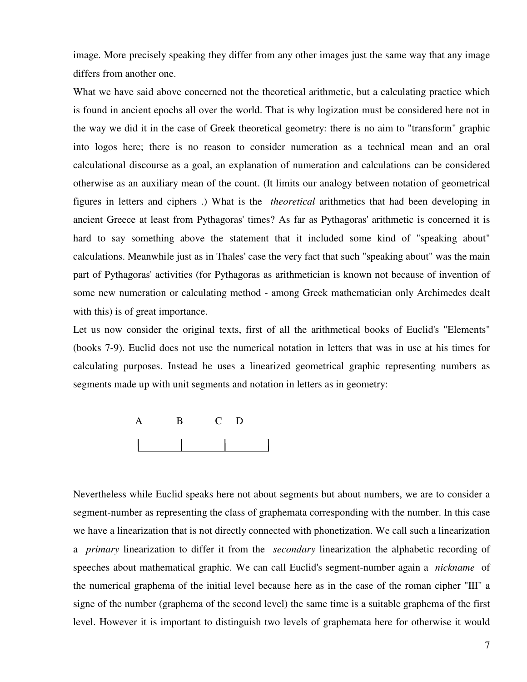image. More precisely speaking they differ from any other images just the same way that any image differs from another one.

What we have said above concerned not the theoretical arithmetic, but a calculating practice which is found in ancient epochs all over the world. That is why logization must be considered here not in the way we did it in the case of Greek theoretical geometry: there is no aim to "transform" graphic into logos here; there is no reason to consider numeration as a technical mean and an oral calculational discourse as a goal, an explanation of numeration and calculations can be considered otherwise as an auxiliary mean of the count. (It limits our analogy between notation of geometrical figures in letters and ciphers .) What is the *theoretical* arithmetics that had been developing in ancient Greece at least from Pythagoras' times? As far as Pythagoras' arithmetic is concerned it is hard to say something above the statement that it included some kind of "speaking about" calculations. Meanwhile just as in Thales' case the very fact that such "speaking about" was the main part of Pythagoras' activities (for Pythagoras as arithmetician is known not because of invention of some new numeration or calculating method - among Greek mathematician only Archimedes dealt with this) is of great importance.

Let us now consider the original texts, first of all the arithmetical books of Euclid's "Elements" (books 7-9). Euclid does not use the numerical notation in letters that was in use at his times for calculating purposes. Instead he uses a linearized geometrical graphic representing numbers as segments made up with unit segments and notation in letters as in geometry:



Nevertheless while Euclid speaks here not about segments but about numbers, we are to consider a segment-number as representing the class of graphemata corresponding with the number. In this case we have a linearization that is not directly connected with phonetization. We call such a linearization a *primary* linearization to differ it from the *secondary* linearization the alphabetic recording of speeches about mathematical graphic. We can call Euclid's segment-number again a *nickname* of the numerical graphema of the initial level because here as in the case of the roman cipher "III" a signe of the number (graphema of the second level) the same time is a suitable graphema of the first level. However it is important to distinguish two levels of graphemata here for otherwise it would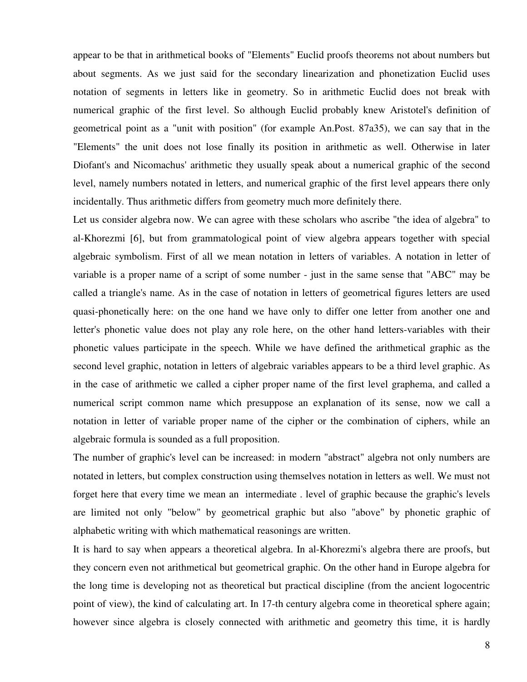appear to be that in arithmetical books of "Elements" Euclid proofs theorems not about numbers but about segments. As we just said for the secondary linearization and phonetization Euclid uses notation of segments in letters like in geometry. So in arithmetic Euclid does not break with numerical graphic of the first level. So although Euclid probably knew Aristotel's definition of geometrical point as a "unit with position" (for example An.Post. 87a35), we can say that in the "Elements" the unit does not lose finally its position in arithmetic as well. Otherwise in later Diofant's and Nicomachus' arithmetic they usually speak about a numerical graphic of the second level, namely numbers notated in letters, and numerical graphic of the first level appears there only incidentally. Thus arithmetic differs from geometry much more definitely there.

Let us consider algebra now. We can agree with these scholars who ascribe "the idea of algebra" to al-Khorezmi [6], but from grammatological point of view algebra appears together with special algebraic symbolism. First of all we mean notation in letters of variables. A notation in letter of variable is a proper name of a script of some number - just in the same sense that "ABC" may be called a triangle's name. As in the case of notation in letters of geometrical figures letters are used quasi-phonetically here: on the one hand we have only to differ one letter from another one and letter's phonetic value does not play any role here, on the other hand letters-variables with their phonetic values participate in the speech. While we have defined the arithmetical graphic as the second level graphic, notation in letters of algebraic variables appears to be a third level graphic. As in the case of arithmetic we called a cipher proper name of the first level graphema, and called a numerical script common name which presuppose an explanation of its sense, now we call a notation in letter of variable proper name of the cipher or the combination of ciphers, while an algebraic formula is sounded as a full proposition.

The number of graphic's level can be increased: in modern "abstract" algebra not only numbers are notated in letters, but complex construction using themselves notation in letters as well. We must not forget here that every time we mean an intermediate . level of graphic because the graphic's levels are limited not only "below" by geometrical graphic but also "above" by phonetic graphic of alphabetic writing with which mathematical reasonings are written.

It is hard to say when appears a theoretical algebra. In al-Khorezmi's algebra there are proofs, but they concern even not arithmetical but geometrical graphic. On the other hand in Europe algebra for the long time is developing not as theoretical but practical discipline (from the ancient logocentric point of view), the kind of calculating art. In 17-th century algebra come in theoretical sphere again; however since algebra is closely connected with arithmetic and geometry this time, it is hardly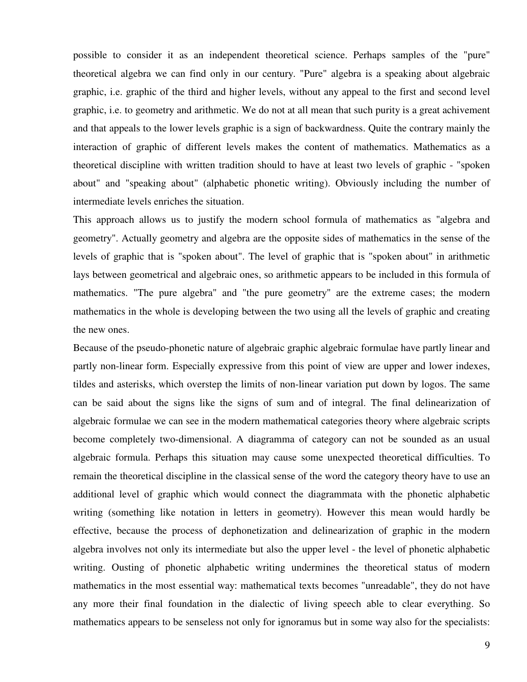possible to consider it as an independent theoretical science. Perhaps samples of the "pure" theoretical algebra we can find only in our century. "Pure" algebra is a speaking about algebraic graphic, i.e. graphic of the third and higher levels, without any appeal to the first and second level graphic, i.e. to geometry and arithmetic. We do not at all mean that such purity is a great achivement and that appeals to the lower levels graphic is a sign of backwardness. Quite the contrary mainly the interaction of graphic of different levels makes the content of mathematics. Mathematics as a theoretical discipline with written tradition should to have at least two levels of graphic - "spoken about" and "speaking about" (alphabetic phonetic writing). Obviously including the number of intermediate levels enriches the situation.

This approach allows us to justify the modern school formula of mathematics as "algebra and geometry". Actually geometry and algebra are the opposite sides of mathematics in the sense of the levels of graphic that is "spoken about". The level of graphic that is "spoken about" in arithmetic lays between geometrical and algebraic ones, so arithmetic appears to be included in this formula of mathematics. "The pure algebra" and "the pure geometry" are the extreme cases; the modern mathematics in the whole is developing between the two using all the levels of graphic and creating the new ones.

Because of the pseudo-phonetic nature of algebraic graphic algebraic formulae have partly linear and partly non-linear form. Especially expressive from this point of view are upper and lower indexes, tildes and asterisks, which overstep the limits of non-linear variation put down by logos. The same can be said about the signs like the signs of sum and of integral. The final delinearization of algebraic formulae we can see in the modern mathematical categories theory where algebraic scripts become completely two-dimensional. A diagramma of category can not be sounded as an usual algebraic formula. Perhaps this situation may cause some unexpected theoretical difficulties. To remain the theoretical discipline in the classical sense of the word the category theory have to use an additional level of graphic which would connect the diagrammata with the phonetic alphabetic writing (something like notation in letters in geometry). However this mean would hardly be effective, because the process of dephonetization and delinearization of graphic in the modern algebra involves not only its intermediate but also the upper level - the level of phonetic alphabetic writing. Ousting of phonetic alphabetic writing undermines the theoretical status of modern mathematics in the most essential way: mathematical texts becomes "unreadable", they do not have any more their final foundation in the dialectic of living speech able to clear everything. So mathematics appears to be senseless not only for ignoramus but in some way also for the specialists: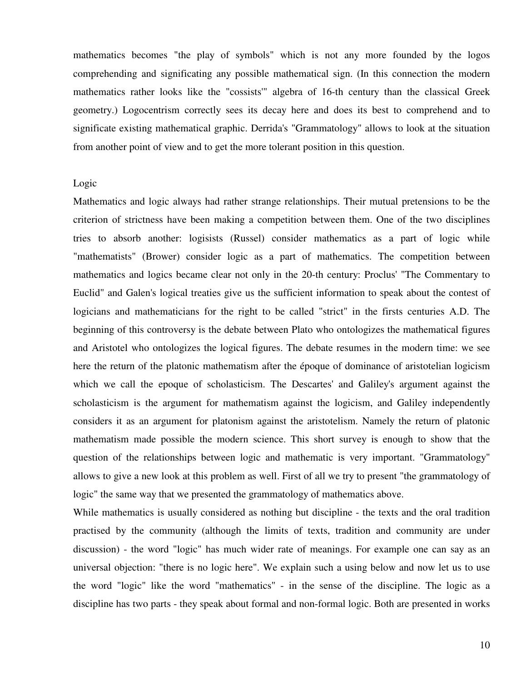mathematics becomes "the play of symbols" which is not any more founded by the logos comprehending and significating any possible mathematical sign. (In this connection the modern mathematics rather looks like the "cossists'" algebra of 16-th century than the classical Greek geometry.) Logocentrism correctly sees its decay here and does its best to comprehend and to significate existing mathematical graphic. Derrida's "Grammatology" allows to look at the situation from another point of view and to get the more tolerant position in this question.

## Logic

Mathematics and logic always had rather strange relationships. Their mutual pretensions to be the criterion of strictness have been making a competition between them. One of the two disciplines tries to absorb another: logisists (Russel) consider mathematics as a part of logic while "mathematists" (Brower) consider logic as a part of mathematics. The competition between mathematics and logics became clear not only in the 20-th century: Proclus' "The Commentary to Euclid" and Galen's logical treaties give us the sufficient information to speak about the contest of logicians and mathematicians for the right to be called "strict" in the firsts centuries A.D. The beginning of this controversy is the debate between Plato who ontologizes the mathematical figures and Aristotel who ontologizes the logical figures. The debate resumes in the modern time: we see here the return of the platonic mathematism after the époque of dominance of aristotelian logicism which we call the epoque of scholasticism. The Descartes' and Galiley's argument against the scholasticism is the argument for mathematism against the logicism, and Galiley independently considers it as an argument for platonism against the aristotelism. Namely the return of platonic mathematism made possible the modern science. This short survey is enough to show that the question of the relationships between logic and mathematic is very important. "Grammatology" allows to give a new look at this problem as well. First of all we try to present "the grammatology of logic" the same way that we presented the grammatology of mathematics above.

While mathematics is usually considered as nothing but discipline - the texts and the oral tradition practised by the community (although the limits of texts, tradition and community are under discussion) - the word "logic" has much wider rate of meanings. For example one can say as an universal objection: "there is no logic here". We explain such a using below and now let us to use the word "logic" like the word "mathematics" - in the sense of the discipline. The logic as a discipline has two parts - they speak about formal and non-formal logic. Both are presented in works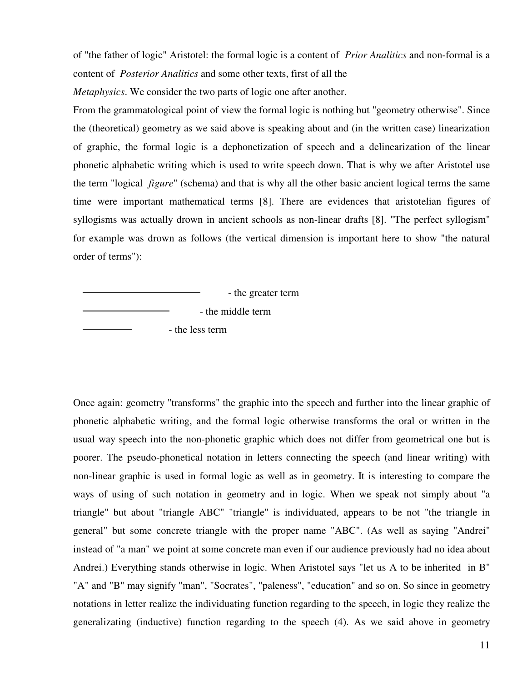of "the father of logic" Aristotel: the formal logic is a content of *Prior Analitics* and non-formal is a content of *Posterior Analitics* and some other texts, first of all the

*Metaphysics*. We consider the two parts of logic one after another.

From the grammatological point of view the formal logic is nothing but "geometry otherwise". Since the (theoretical) geometry as we said above is speaking about and (in the written case) linearization of graphic, the formal logic is a dephonetization of speech and a delinearization of the linear phonetic alphabetic writing which is used to write speech down. That is why we after Aristotel use the term "logical *figure*" (schema) and that is why all the other basic ancient logical terms the same time were important mathematical terms [8]. There are evidences that aristotelian figures of syllogisms was actually drown in ancient schools as non-linear drafts [8]. "The perfect syllogism" for example was drown as follows (the vertical dimension is important here to show "the natural order of terms"):

 - the greater term - the middle term - the less term

Once again: geometry "transforms" the graphic into the speech and further into the linear graphic of phonetic alphabetic writing, and the formal logic otherwise transforms the oral or written in the usual way speech into the non-phonetic graphic which does not differ from geometrical one but is poorer. The pseudo-phonetical notation in letters connecting the speech (and linear writing) with non-linear graphic is used in formal logic as well as in geometry. It is interesting to compare the ways of using of such notation in geometry and in logic. When we speak not simply about "a triangle" but about "triangle ABC" "triangle" is individuated, appears to be not "the triangle in general" but some concrete triangle with the proper name "ABC". (As well as saying "Andrei" instead of "a man" we point at some concrete man even if our audience previously had no idea about Andrei.) Everything stands otherwise in logic. When Aristotel says "let us A to be inherited in B" "A" and "B" may signify "man", "Socrates", "paleness", "education" and so on. So since in geometry notations in letter realize the individuating function regarding to the speech, in logic they realize the generalizating (inductive) function regarding to the speech (4). As we said above in geometry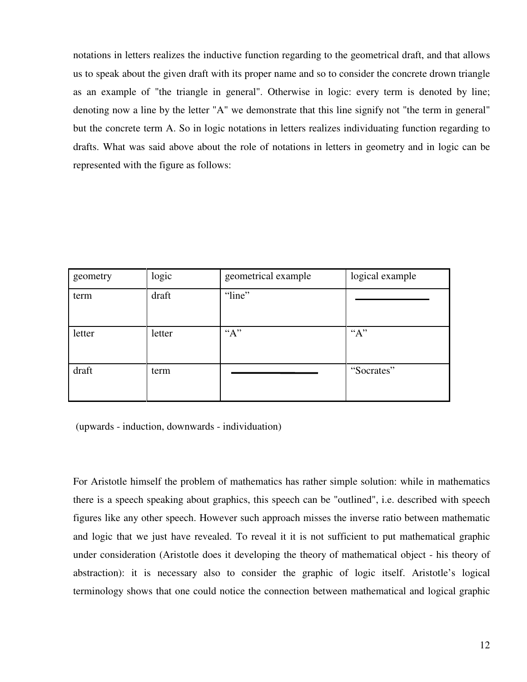notations in letters realizes the inductive function regarding to the geometrical draft, and that allows us to speak about the given draft with its proper name and so to consider the concrete drown triangle as an example of "the triangle in general". Otherwise in logic: every term is denoted by line; denoting now a line by the letter "A" we demonstrate that this line signify not "the term in general" but the concrete term A. So in logic notations in letters realizes individuating function regarding to drafts. What was said above about the role of notations in letters in geometry and in logic can be represented with the figure as follows:

| geometry | logic  | geometrical example | logical example |
|----------|--------|---------------------|-----------------|
| term     | draft  | "line"              |                 |
| letter   | letter | "A"                 | "A"             |
| draft    | term   |                     | "Socrates"      |

(upwards - induction, downwards - individuation)

For Aristotle himself the problem of mathematics has rather simple solution: while in mathematics there is a speech speaking about graphics, this speech can be "outlined", i.e. described with speech figures like any other speech. However such approach misses the inverse ratio between mathematic and logic that we just have revealed. To reveal it it is not sufficient to put mathematical graphic under consideration (Aristotle does it developing the theory of mathematical object - his theory of abstraction): it is necessary also to consider the graphic of logic itself. Aristotle's logical terminology shows that one could notice the connection between mathematical and logical graphic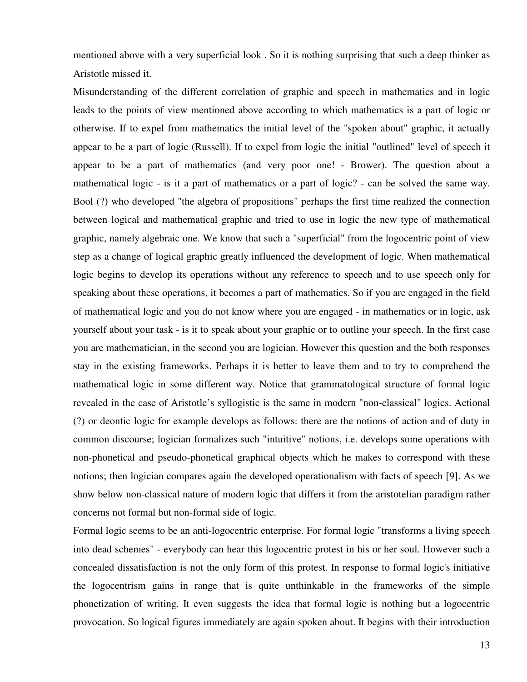mentioned above with a very superficial look . So it is nothing surprising that such a deep thinker as Aristotle missed it.

Misunderstanding of the different correlation of graphic and speech in mathematics and in logic leads to the points of view mentioned above according to which mathematics is a part of logic or otherwise. If to expel from mathematics the initial level of the "spoken about" graphic, it actually appear to be a part of logic (Russell). If to expel from logic the initial "outlined" level of speech it appear to be a part of mathematics (and very poor one! - Brower). The question about a mathematical logic - is it a part of mathematics or a part of logic? - can be solved the same way. Bool (?) who developed "the algebra of propositions" perhaps the first time realized the connection between logical and mathematical graphic and tried to use in logic the new type of mathematical graphic, namely algebraic one. We know that such a "superficial" from the logocentric point of view step as a change of logical graphic greatly influenced the development of logic. When mathematical logic begins to develop its operations without any reference to speech and to use speech only for speaking about these operations, it becomes a part of mathematics. So if you are engaged in the field of mathematical logic and you do not know where you are engaged - in mathematics or in logic, ask yourself about your task - is it to speak about your graphic or to outline your speech. In the first case you are mathematician, in the second you are logician. However this question and the both responses stay in the existing frameworks. Perhaps it is better to leave them and to try to comprehend the mathematical logic in some different way. Notice that grammatological structure of formal logic revealed in the case of Aristotle's syllogistic is the same in modern "non-classical" logics. Actional (?) or deontic logic for example develops as follows: there are the notions of action and of duty in common discourse; logician formalizes such "intuitive" notions, i.e. develops some operations with non-phonetical and pseudo-phonetical graphical objects which he makes to correspond with these notions; then logician compares again the developed operationalism with facts of speech [9]. As we show below non-classical nature of modern logic that differs it from the aristotelian paradigm rather concerns not formal but non-formal side of logic.

Formal logic seems to be an anti-logocentric enterprise. For formal logic "transforms a living speech into dead schemes" - everybody can hear this logocentric protest in his or her soul. However such a concealed dissatisfaction is not the only form of this protest. In response to formal logic's initiative the logocentrism gains in range that is quite unthinkable in the frameworks of the simple phonetization of writing. It even suggests the idea that formal logic is nothing but a logocentric provocation. So logical figures immediately are again spoken about. It begins with their introduction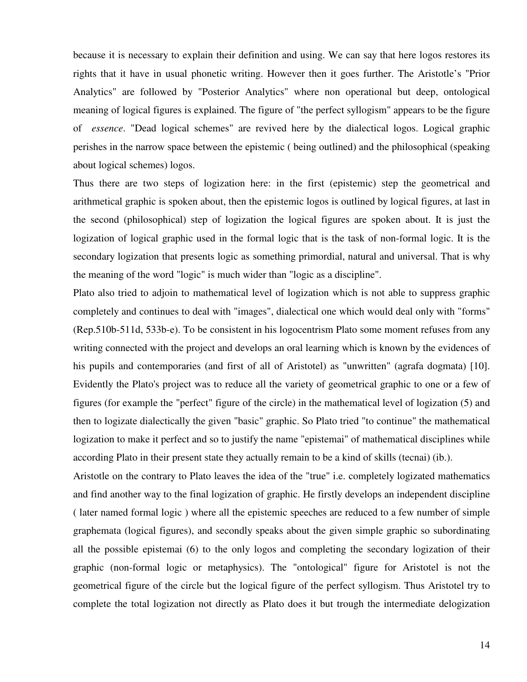because it is necessary to explain their definition and using. We can say that here logos restores its rights that it have in usual phonetic writing. However then it goes further. The Aristotle's "Prior Analytics" are followed by "Posterior Analytics" where non operational but deep, ontological meaning of logical figures is explained. The figure of "the perfect syllogism" appears to be the figure of *essence*. "Dead logical schemes" are revived here by the dialectical logos. Logical graphic perishes in the narrow space between the epistemic ( being outlined) and the philosophical (speaking about logical schemes) logos.

Thus there are two steps of logization here: in the first (epistemic) step the geometrical and arithmetical graphic is spoken about, then the epistemic logos is outlined by logical figures, at last in the second (philosophical) step of logization the logical figures are spoken about. It is just the logization of logical graphic used in the formal logic that is the task of non-formal logic. It is the secondary logization that presents logic as something primordial, natural and universal. That is why the meaning of the word "logic" is much wider than "logic as a discipline".

Plato also tried to adjoin to mathematical level of logization which is not able to suppress graphic completely and continues to deal with "images", dialectical one which would deal only with "forms" (Rep.510b-511d, 533b-e). To be consistent in his logocentrism Plato some moment refuses from any writing connected with the project and develops an oral learning which is known by the evidences of his pupils and contemporaries (and first of all of Aristotel) as "unwritten" (agrafa dogmata) [10]. Evidently the Plato's project was to reduce all the variety of geometrical graphic to one or a few of figures (for example the "perfect" figure of the circle) in the mathematical level of logization (5) and then to logizate dialectically the given "basic" graphic. So Plato tried "to continue" the mathematical logization to make it perfect and so to justify the name "epistemai" of mathematical disciplines while according Plato in their present state they actually remain to be a kind of skills (tecnai) (ib.).

Aristotle on the contrary to Plato leaves the idea of the "true" i.e. completely logizated mathematics and find another way to the final logization of graphic. He firstly develops an independent discipline ( later named formal logic ) where all the epistemic speeches are reduced to a few number of simple graphemata (logical figures), and secondly speaks about the given simple graphic so subordinating all the possible epistemai (6) to the only logos and completing the secondary logization of their graphic (non-formal logic or metaphysics). The "ontological" figure for Aristotel is not the geometrical figure of the circle but the logical figure of the perfect syllogism. Thus Aristotel try to complete the total logization not directly as Plato does it but trough the intermediate delogization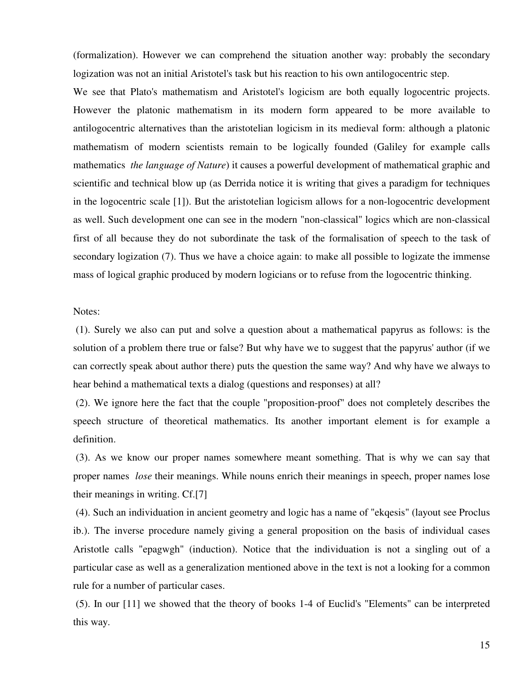(formalization). However we can comprehend the situation another way: probably the secondary logization was not an initial Aristotel's task but his reaction to his own antilogocentric step.

We see that Plato's mathematism and Aristotel's logicism are both equally logocentric projects. However the platonic mathematism in its modern form appeared to be more available to antilogocentric alternatives than the aristotelian logicism in its medieval form: although a platonic mathematism of modern scientists remain to be logically founded (Galiley for example calls mathematics *the language of Nature*) it causes a powerful development of mathematical graphic and scientific and technical blow up (as Derrida notice it is writing that gives a paradigm for techniques in the logocentric scale [1]). But the aristotelian logicism allows for a non-logocentric development as well. Such development one can see in the modern "non-classical" logics which are non-classical first of all because they do not subordinate the task of the formalisation of speech to the task of secondary logization (7). Thus we have a choice again: to make all possible to logizate the immense mass of logical graphic produced by modern logicians or to refuse from the logocentric thinking.

## Notes:

 (1). Surely we also can put and solve a question about a mathematical papyrus as follows: is the solution of a problem there true or false? But why have we to suggest that the papyrus' author (if we can correctly speak about author there) puts the question the same way? And why have we always to hear behind a mathematical texts a dialog (questions and responses) at all?

 (2). We ignore here the fact that the couple "proposition-proof" does not completely describes the speech structure of theoretical mathematics. Its another important element is for example a definition.

 (3). As we know our proper names somewhere meant something. That is why we can say that proper names *lose* their meanings. While nouns enrich their meanings in speech, proper names lose their meanings in writing. Cf.[7]

 (4). Such an individuation in ancient geometry and logic has a name of "ekqesis" (layout see Proclus ib.). The inverse procedure namely giving a general proposition on the basis of individual cases Aristotle calls "epagwgh" (induction). Notice that the individuation is not a singling out of a particular case as well as a generalization mentioned above in the text is not a looking for a common rule for a number of particular cases.

 (5). In our [11] we showed that the theory of books 1-4 of Euclid's "Elements" can be interpreted this way.